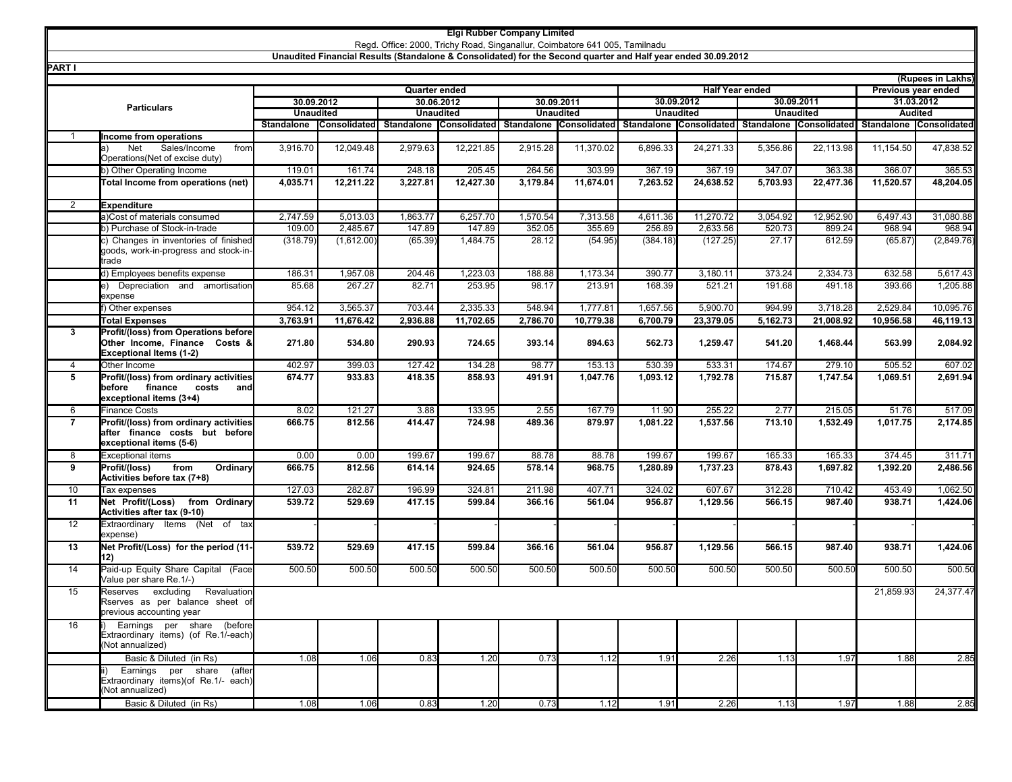## **Elgi Rubber Company Limited**

Regd. Office: 2000, Trichy Road, Singanallur, Coimbatore 641 005, Tamilnadu

**Unaudited Financial Results (Standalone & Consolidated) for the Second quarter and Half year ended 30.09.2012**

| <u>PARI I</u>      |                                                                                                      |                                                |                         |                          |           |                  |                                                 |                  |           |                  |                                      |                | (Rupees in Lakhs)       |
|--------------------|------------------------------------------------------------------------------------------------------|------------------------------------------------|-------------------------|--------------------------|-----------|------------------|-------------------------------------------------|------------------|-----------|------------------|--------------------------------------|----------------|-------------------------|
|                    |                                                                                                      | <b>Quarter ended</b><br><b>Half Year ended</b> |                         |                          |           |                  |                                                 |                  |           |                  | Previous year ended                  |                |                         |
|                    |                                                                                                      | 30.09.2012                                     |                         | 30.09.2011<br>30.06.2012 |           |                  | 30.09.2012<br>30.09.2011                        |                  |           |                  | 31.03.2012                           |                |                         |
| <b>Particulars</b> |                                                                                                      | <b>Unaudited</b>                               |                         | <b>Unaudited</b>         |           | <b>Unaudited</b> |                                                 | <b>Unaudited</b> |           | <b>Unaudited</b> |                                      | <b>Audited</b> |                         |
|                    |                                                                                                      | Standalone                                     | Consolidated Standalone |                          |           |                  | Consolidated Standalone Consolidated Standalone |                  |           |                  | Consolidated Standalone Consolidated |                | Standalone Consolidated |
| -1                 | Income from operations                                                                               |                                                |                         |                          |           |                  |                                                 |                  |           |                  |                                      |                |                         |
|                    | <b>Net</b><br>Sales/Income<br>from<br>la)                                                            | 3,916.70                                       | 12,049.48               | 2,979.63                 | 12,221.85 | 2,915.28         | 11,370.02                                       | 6,896.33         | 24,271.33 | 5,356.86         | 22,113.98                            | 11,154.50      | 47,838.52               |
|                    | Operations (Net of excise duty)                                                                      |                                                |                         |                          |           |                  |                                                 |                  |           |                  |                                      |                |                         |
|                    | b) Other Operating Income                                                                            | 119.01                                         | 161.74                  | 248.18                   | 205.45    | 264.56           | 303.99                                          | 367.19           | 367.19    | 347.07           | 363.38                               | 366.07         | 365.53                  |
|                    | Total Income from operations (net)                                                                   | 4,035.71                                       | 12,211.22               | 3,227.81                 | 12,427.30 | 3,179.84         | 11,674.01                                       | 7,263.52         | 24,638.52 | 5,703.93         | 22,477.36                            | 11,520.57      | 48,204.05               |
| 2                  | <b>Expenditure</b>                                                                                   |                                                |                         |                          |           |                  |                                                 |                  |           |                  |                                      |                |                         |
|                    | a)Cost of materials consumed                                                                         | 2,747.59                                       | 5,013.03                | 1,863.77                 | 6,257.70  | 1,570.54         | 7,313.58                                        | 4,611.36         | 11,270.72 | 3,054.92         | 12,952.90                            | 6,497.43       | 31,080.88               |
|                    | b) Purchase of Stock-in-trade                                                                        | 109.00                                         | 2,485.67                | 147.89                   | 147.89    | 352.05           | 355.69                                          | 256.89           | 2,633.56  | 520.73           | 899.24                               | 968.94         | 968.94                  |
|                    | c) Changes in inventories of finished                                                                | (318.79)                                       | (1,612.00)              | (65.39)                  | 1,484.75  | 28.12            | (54.95)                                         | (384.18)         | (127.25)  | 27.17            | 612.59                               | (65.87)        | (2,849.76)              |
|                    | goods, work-in-progress and stock-in-<br>trade                                                       |                                                |                         |                          |           |                  |                                                 |                  |           |                  |                                      |                |                         |
|                    | d) Employees benefits expense                                                                        | 186.31                                         | 1,957.08                | 204.46                   | 1,223.03  | 188.88           | 1,173.34                                        | 390.77           | 3,180.11  | 373.24           | 2,334.73                             | 632.58         | 5,617.43                |
|                    | e) Depreciation and amortisation<br>expense                                                          | 85.68                                          | 267.27                  | 82.71                    | 253.95    | 98.17            | 213.91                                          | 168.39           | 521.21    | 191.68           | 491.18                               | 393.66         | 1,205.88                |
|                    | Other expenses                                                                                       | 954.12                                         | 3,565.37                | 703.44                   | 2,335.33  | 548.94           | 1,777.81                                        | 1,657.56         | 5,900.70  | 994.99           | 3,718.28                             | 2,529.84       | 10,095.76               |
|                    | <b>Total Expenses</b>                                                                                | 3,763.91                                       | 11,676.42               | 2,936.88                 | 11,702.65 | 2,786.70         | 10,779.38                                       | 6,700.79         | 23,379.05 | 5,162.73         | 21,008.92                            | 10,956.58      | 46,119.13               |
| 3                  | Profit/(loss) from Operations before                                                                 |                                                |                         |                          |           |                  |                                                 |                  |           |                  |                                      |                |                         |
|                    | Other Income, Finance Costs &<br><b>Exceptional Items (1-2)</b>                                      | 271.80                                         | 534.80                  | 290.93                   | 724.65    | 393.14           | 894.63                                          | 562.73           | 1,259.47  | 541.20           | 1,468.44                             | 563.99         | 2,084.92                |
| $\overline{4}$     | Other Income                                                                                         | 402.97                                         | 399.03                  | 127.42                   | 134.28    | 98.77            | 153.13                                          | 530.39           | 533.31    | 174.67           | 279.10                               | 505.52         | 607.02                  |
| 5                  | Profit/(loss) from ordinary activities<br>before finance costs<br>and                                | 674.77                                         | 933.83                  | 418.35                   | 858.93    | 491.91           | 1,047.76                                        | 1.093.12         | 1,792.78  | 715.87           | 1,747.54                             | 1.069.51       | 2,691.94                |
|                    | exceptional items (3+4)                                                                              |                                                |                         |                          |           |                  |                                                 |                  |           |                  |                                      |                |                         |
| 6                  | <b>Finance Costs</b>                                                                                 | 8.02                                           | 121.27                  | 3.88                     | 133.95    | 2.55             | 167.79                                          | 11.90            | 255.22    | 2.77             | 215.05                               | 51.76          | 517.09                  |
| $\overline{7}$     | Profit/(loss) from ordinary activities<br>lafter finance costs but before<br>exceptional items (5-6) | 666.75                                         | 812.56                  | 414.47                   | 724.98    | 489.36           | 879.97                                          | 1,081.22         | 1,537.56  | 713.10           | 1,532.49                             | 1,017.75       | 2,174.85                |
| 8                  | <b>Exceptional items</b>                                                                             | 0.00                                           | 0.00                    | 199.67                   | 199.67    | 88.78            | 88.78                                           | 199.67           | 199.67    | 165.33           | 165.33                               | 374.45         | 311.71                  |
| 9                  | Profit/(loss)<br>from<br>Ordinary<br>Activities before tax (7+8)                                     | 666.75                                         | 812.56                  | 614.14                   | 924.65    | 578.14           | 968.75                                          | 1,280.89         | 1,737.23  | 878.43           | 1,697.82                             | 1,392.20       | 2,486.56                |
| 10                 | Tax expenses                                                                                         | 127.03                                         | 282.87                  | 196.99                   | 324.81    | 211.98           | 407.71                                          | 324.02           | 607.67    | 312.28           | 710.42                               | 453.49         | 1,062.50                |
| 11                 | Net Profit/(Loss) from Ordinary<br>Activities after tax (9-10)                                       | 539.72                                         | 529.69                  | 417.15                   | 599.84    | 366.16           | 561.04                                          | 956.87           | 1,129.56  | 566.15           | 987.40                               | 938.71         | 1,424.06                |
| $\overline{12}$    | Extraordinary Items (Net of tax<br>expense)                                                          |                                                |                         |                          |           |                  |                                                 |                  |           |                  |                                      |                |                         |
| 13                 | Net Profit/(Loss) for the period (11-<br>12)                                                         | 539.72                                         | 529.69                  | 417.15                   | 599.84    | 366.16           | 561.04                                          | 956.87           | 1,129.56  | 566.15           | 987.40                               | 938.71         | 1,424.06                |
| 14                 | Paid-up Equity Share Capital (Face<br>Value per share Re.1/-)                                        | 500.50                                         | 500.50                  | 500.50                   | 500.50    | 500.50           | 500.50                                          | 500.50           | 500.50    | 500.50           | 500.50                               | 500.50         | 500.50                  |
| $\overline{15}$    | Reserves excluding<br>Revaluation<br>Rserves as per balance sheet of<br>previous accounting year     |                                                |                         |                          |           |                  |                                                 |                  |           |                  |                                      | 21,859.93      | 24,377.47               |
| 16                 | Earnings per share (before<br>Extraordinary items) (of Re.1/-each)<br>Not annualized)                |                                                |                         |                          |           |                  |                                                 |                  |           |                  |                                      |                |                         |
|                    | Basic & Diluted (in Rs)                                                                              | 1.08                                           | 1.06                    | 0.83                     | 1.20      | 0.73             | 1.12                                            | 1.91             | 2.26      | 1.13             | 1.97                                 | 1.88           | 2.85                    |
|                    | Earnings per share<br>(after<br>Extraordinary items)(of Re.1/- each)<br>(Not annualized)             |                                                |                         |                          |           |                  |                                                 |                  |           |                  |                                      |                |                         |
|                    | Basic & Diluted (in Rs)                                                                              | 1.08                                           | 1.06                    | 0.83                     | 1.20      | 0.73             | 1.12                                            | 1.91             | 2.26      | 1.13             | 1.97                                 | 1.88           | 2.85                    |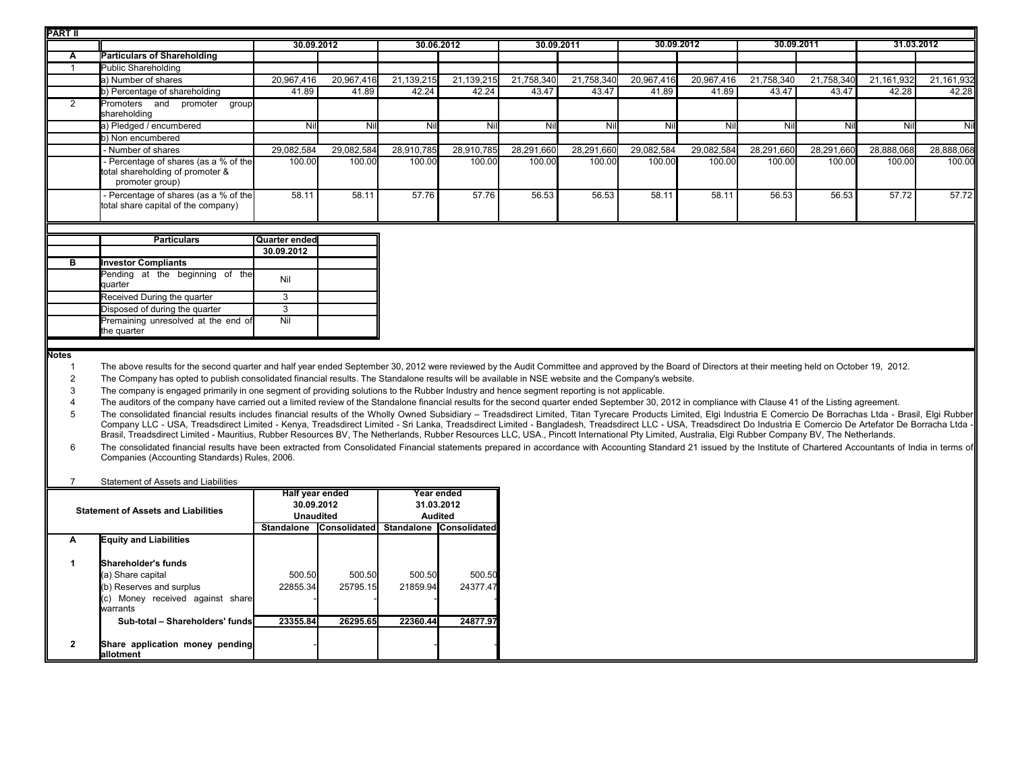| <b>PART II</b> |                                                                                                                                                                                                                                                                                                                                                                                                                                                                                                                                                                                                                                                     |               |            |            |                            |            |            |            |            |            |            |            |            |
|----------------|-----------------------------------------------------------------------------------------------------------------------------------------------------------------------------------------------------------------------------------------------------------------------------------------------------------------------------------------------------------------------------------------------------------------------------------------------------------------------------------------------------------------------------------------------------------------------------------------------------------------------------------------------------|---------------|------------|------------|----------------------------|------------|------------|------------|------------|------------|------------|------------|------------|
|                |                                                                                                                                                                                                                                                                                                                                                                                                                                                                                                                                                                                                                                                     | 30.09.2012    |            | 30.06.2012 |                            | 30.09.2011 |            |            | 30.09.2012 | 30.09.2011 |            |            | 31.03.2012 |
| Α              | <b>Particulars of Shareholding</b>                                                                                                                                                                                                                                                                                                                                                                                                                                                                                                                                                                                                                  |               |            |            |                            |            |            |            |            |            |            |            |            |
|                | Public Shareholding                                                                                                                                                                                                                                                                                                                                                                                                                                                                                                                                                                                                                                 |               |            |            |                            |            |            |            |            |            |            |            |            |
|                | a) Number of shares                                                                                                                                                                                                                                                                                                                                                                                                                                                                                                                                                                                                                                 | 20,967,416    | 20,967,416 | 21,139,215 | $\overline{21}$ , 139, 215 | 21,758,340 | 21,758,340 | 20,967,416 | 20,967,416 | 21,758,340 | 21,758,340 | 21,161,932 | 21,161,932 |
|                | b) Percentage of shareholding                                                                                                                                                                                                                                                                                                                                                                                                                                                                                                                                                                                                                       | 41.89         | 41.89      | 42.24      | 42.24                      | 43.47      | 43.47      | 41.89      | 41.89      | 43.47      | 43.47      | 42.28      | 42.28      |
| $\overline{2}$ | Promoters and promoter<br>group<br>shareholding                                                                                                                                                                                                                                                                                                                                                                                                                                                                                                                                                                                                     |               |            |            |                            |            |            |            |            |            |            |            |            |
|                | a) Pledged / encumbered                                                                                                                                                                                                                                                                                                                                                                                                                                                                                                                                                                                                                             | Nil           | Nil        | Nil        | Nil                        | Nil        | Nil        | Nil        | Nil        | Nil        | Nil        | Nil        | Nil        |
|                | b) Non encumbered                                                                                                                                                                                                                                                                                                                                                                                                                                                                                                                                                                                                                                   |               |            |            |                            |            |            |            |            |            |            |            |            |
|                | Number of shares                                                                                                                                                                                                                                                                                                                                                                                                                                                                                                                                                                                                                                    | 29,082,584    | 29,082,584 | 28,910,785 | 28,910,785                 | 28,291,660 | 28,291,660 | 29,082,584 | 29,082,584 | 28,291,660 | 28,291,660 | 28,888,068 | 28,888,068 |
|                | Percentage of shares (as a % of the<br>total shareholding of promoter &<br>promoter group)                                                                                                                                                                                                                                                                                                                                                                                                                                                                                                                                                          | 100.00        | 100.00     | 100.00     | 100.00                     | 100.00     | 100.00     | 100.00     | 100.00     | 100.00     | 100.00     | 100.00     | 100.00     |
|                | Percentage of shares (as a % of the<br>total share capital of the company)                                                                                                                                                                                                                                                                                                                                                                                                                                                                                                                                                                          | 58.11         | 58.11      | 57.76      | 57.76                      | 56.53      | 56.53      | 58.11      | 58.11      | 56.53      | 56.53      | 57.72      | 57.72      |
|                |                                                                                                                                                                                                                                                                                                                                                                                                                                                                                                                                                                                                                                                     |               |            |            |                            |            |            |            |            |            |            |            |            |
|                | <b>Particulars</b>                                                                                                                                                                                                                                                                                                                                                                                                                                                                                                                                                                                                                                  | Quarter ended |            |            |                            |            |            |            |            |            |            |            |            |
|                |                                                                                                                                                                                                                                                                                                                                                                                                                                                                                                                                                                                                                                                     | 30.09.2012    |            |            |                            |            |            |            |            |            |            |            |            |
| в              | <b>Investor Compliants</b>                                                                                                                                                                                                                                                                                                                                                                                                                                                                                                                                                                                                                          |               |            |            |                            |            |            |            |            |            |            |            |            |
|                | Pending at the beginning of the<br>quarter                                                                                                                                                                                                                                                                                                                                                                                                                                                                                                                                                                                                          | Nil           |            |            |                            |            |            |            |            |            |            |            |            |
|                | Received During the quarter                                                                                                                                                                                                                                                                                                                                                                                                                                                                                                                                                                                                                         | 3             |            |            |                            |            |            |            |            |            |            |            |            |
|                | Disposed of during the quarter                                                                                                                                                                                                                                                                                                                                                                                                                                                                                                                                                                                                                      | 3             |            |            |                            |            |            |            |            |            |            |            |            |
|                | Premaining unresolved at the end of<br>the quarter                                                                                                                                                                                                                                                                                                                                                                                                                                                                                                                                                                                                  | Nil           |            |            |                            |            |            |            |            |            |            |            |            |
|                |                                                                                                                                                                                                                                                                                                                                                                                                                                                                                                                                                                                                                                                     |               |            |            |                            |            |            |            |            |            |            |            |            |
| <b>Notes</b>   |                                                                                                                                                                                                                                                                                                                                                                                                                                                                                                                                                                                                                                                     |               |            |            |                            |            |            |            |            |            |            |            |            |
|                | The above results for the second quarter and half year ended September 30, 2012 were reviewed by the Audit Committee and approved by the Board of Directors at their meeting held on October 19, 2012.                                                                                                                                                                                                                                                                                                                                                                                                                                              |               |            |            |                            |            |            |            |            |            |            |            |            |
|                | The Company has opted to publish consolidated financial results. The Standalone results will be available in NSE website and the Company's website.                                                                                                                                                                                                                                                                                                                                                                                                                                                                                                 |               |            |            |                            |            |            |            |            |            |            |            |            |
| 3              | The company is engaged primarily in one segment of providing solutions to the Rubber Industry and hence segment reporting is not applicable.                                                                                                                                                                                                                                                                                                                                                                                                                                                                                                        |               |            |            |                            |            |            |            |            |            |            |            |            |
|                | The auditors of the company have carried out a limited review of the Standalone financial results for the second quarter ended September 30, 2012 in compliance with Clause 41 of the Listing agreement.                                                                                                                                                                                                                                                                                                                                                                                                                                            |               |            |            |                            |            |            |            |            |            |            |            |            |
|                | The consolidated financial results includes financial results of the Wholly Owned Subsidiary - Treadsdirect Limited, Titan Tyrecare Products Limited, Elgi Industria E Comercio De Borrachas Ltda - Brasil, Elgi Rubber<br>Company LLC - USA, Treadsdirect Limited - Kenya, Treadsdirect Limited - Sri Lanka, Treadsdirect Limited - Bangladesh, Treadsdirect LLC - USA, Treadsdirect Do Industria E Comercio De Artefator De Borracha Ltda -<br>Brasil, Treadsdirect Limited - Mauritius, Rubber Resources BV, The Netherlands, Rubber Resources LLC, USA., Pincott International Pty Limited, Australia, Elgi Rubber Company BV, The Netherlands. |               |            |            |                            |            |            |            |            |            |            |            |            |

6 The consolidated financial results have been extracted from Consolidated Financial statements prepared in accordance with Accounting Standard 21 issued by the Institute of Chartered Accountants of India in terms of India i

| Statement of Assets and Liabilities |  |
|-------------------------------------|--|
|-------------------------------------|--|

|                                            |                                               | Half year ended  |                     |            | Year ended            |  |
|--------------------------------------------|-----------------------------------------------|------------------|---------------------|------------|-----------------------|--|
| <b>Statement of Assets and Liabilities</b> |                                               | 30.09.2012       |                     | 31.03.2012 |                       |  |
|                                            |                                               | <b>Unaudited</b> |                     |            | <b>Audited</b>        |  |
|                                            |                                               | Standalone       | <b>Consolidated</b> | Standalone | <b>IConsolidatedl</b> |  |
| A                                          | <b>Equity and Liabilities</b>                 |                  |                     |            |                       |  |
|                                            | lShareholder's funds                          |                  |                     |            |                       |  |
|                                            | (a) Share capital                             | 500.50           | 500.50              | 500.50     | 500.50                |  |
|                                            | (b) Reserves and surplus                      | 22855.34         | 25795.15            | 21859.94   | 24377.47              |  |
|                                            | (c) Money received against share<br>warrants  |                  |                     |            |                       |  |
|                                            | Sub-total - Shareholders' funds               | 23355.84         | 26295.65            | 22360.44   | 24877.97              |  |
|                                            |                                               |                  |                     |            |                       |  |
| $\mathbf{2}$                               | Share application money pending<br>lallotment |                  |                     |            |                       |  |